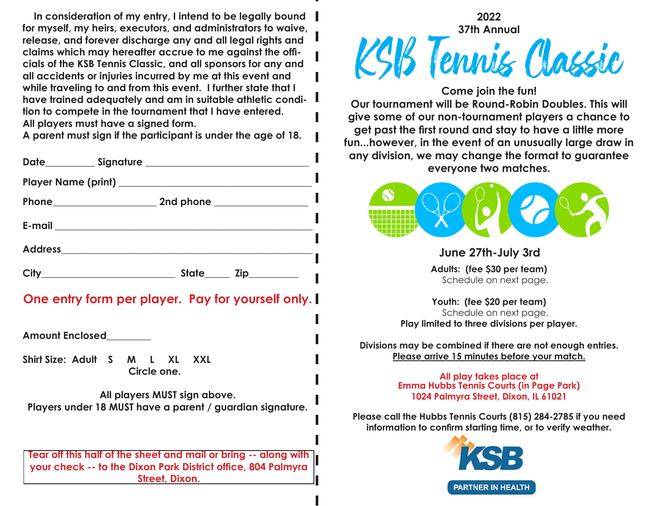**In consideration of my entry, I intend to be legally bound for myself, my heirs, executors, and administrators to waive, release, and forever discharge any and all legal rights and claims which may hereafter accrue to me against the officials of the KSB Tennis Classic, and all sponsors for any and all accidents or injuries incurred by me at this event and while traveling to and from this event. I further state that I have trained adequately and am in suitable athletic condition to compete in the tournament that I have entered. All players must have a signed form.** 

**A parent must sign if the participant is under the age of 18.**

| <b>City</b><br><u> 1989 - Johann Barbara, martxa amerikan per</u> | State<br>Zip__________ |  |
|-------------------------------------------------------------------|------------------------|--|

## **One entry form per player. Pay for yourself only.**

**Amount Enclosed\_\_\_\_\_\_\_\_\_**

**Shirt Size: Adult S M L XL XXL Circle one.**

**All players MUST sign above. Players under 18 MUST have a parent / guardian signature.**

**Tear off this half of the sheet and mail or bring -- along with your check -- to the Dixon Park District office, 804 Palmyra Street, Dixon.** 



**Our tournament will be Round-Robin Doubles. This will give some of our non-tournament players a chance to get past the first round and stay to have a little more fun...however, in the event of an unusually large draw in any division, we may change the format to guarantee everyone two matches.**



**June 27th-July 3rd**

**Adults: (fee \$30 per team)** Schedule on next page.

**Youth: (fee \$20 per team)** Schedule on next page. **Play limited to three divisions per player.**

**Divisions may be combined if there are not enough entries. Please arrive 15 minutes before your match.**

> **All play takes place at Emma Hubbs Tennis Courts (in Page Park) 1024 Palmyra Street, Dixon, IL 61021**

**Please call the Hubbs Tennis Courts (815) 284-2785 if you need information to confirm starting time, or to verify weather.**